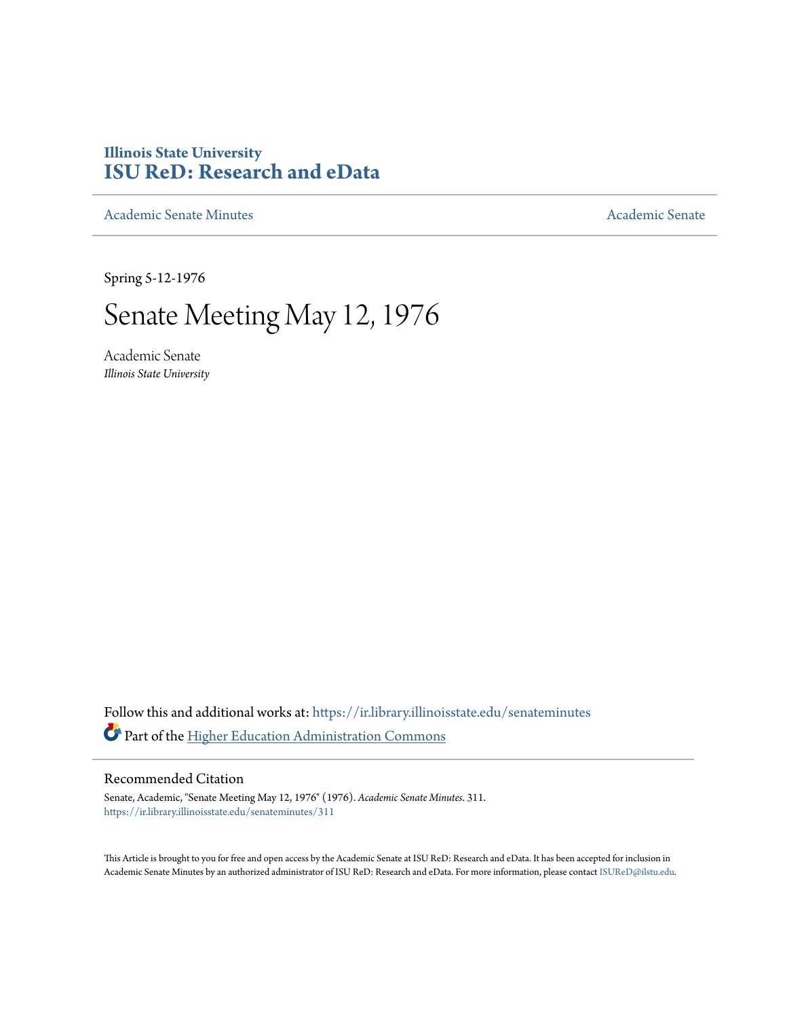## **Illinois State University [ISU ReD: Research and eData](https://ir.library.illinoisstate.edu?utm_source=ir.library.illinoisstate.edu%2Fsenateminutes%2F311&utm_medium=PDF&utm_campaign=PDFCoverPages)**

[Academic Senate Minutes](https://ir.library.illinoisstate.edu/senateminutes?utm_source=ir.library.illinoisstate.edu%2Fsenateminutes%2F311&utm_medium=PDF&utm_campaign=PDFCoverPages) [Academic Senate](https://ir.library.illinoisstate.edu/senate?utm_source=ir.library.illinoisstate.edu%2Fsenateminutes%2F311&utm_medium=PDF&utm_campaign=PDFCoverPages) Academic Senate

Spring 5-12-1976

# Senate Meeting May 12, 1976

Academic Senate *Illinois State University*

Follow this and additional works at: [https://ir.library.illinoisstate.edu/senateminutes](https://ir.library.illinoisstate.edu/senateminutes?utm_source=ir.library.illinoisstate.edu%2Fsenateminutes%2F311&utm_medium=PDF&utm_campaign=PDFCoverPages) Part of the [Higher Education Administration Commons](http://network.bepress.com/hgg/discipline/791?utm_source=ir.library.illinoisstate.edu%2Fsenateminutes%2F311&utm_medium=PDF&utm_campaign=PDFCoverPages)

#### Recommended Citation

Senate, Academic, "Senate Meeting May 12, 1976" (1976). *Academic Senate Minutes*. 311. [https://ir.library.illinoisstate.edu/senateminutes/311](https://ir.library.illinoisstate.edu/senateminutes/311?utm_source=ir.library.illinoisstate.edu%2Fsenateminutes%2F311&utm_medium=PDF&utm_campaign=PDFCoverPages)

This Article is brought to you for free and open access by the Academic Senate at ISU ReD: Research and eData. It has been accepted for inclusion in Academic Senate Minutes by an authorized administrator of ISU ReD: Research and eData. For more information, please contact [ISUReD@ilstu.edu.](mailto:ISUReD@ilstu.edu)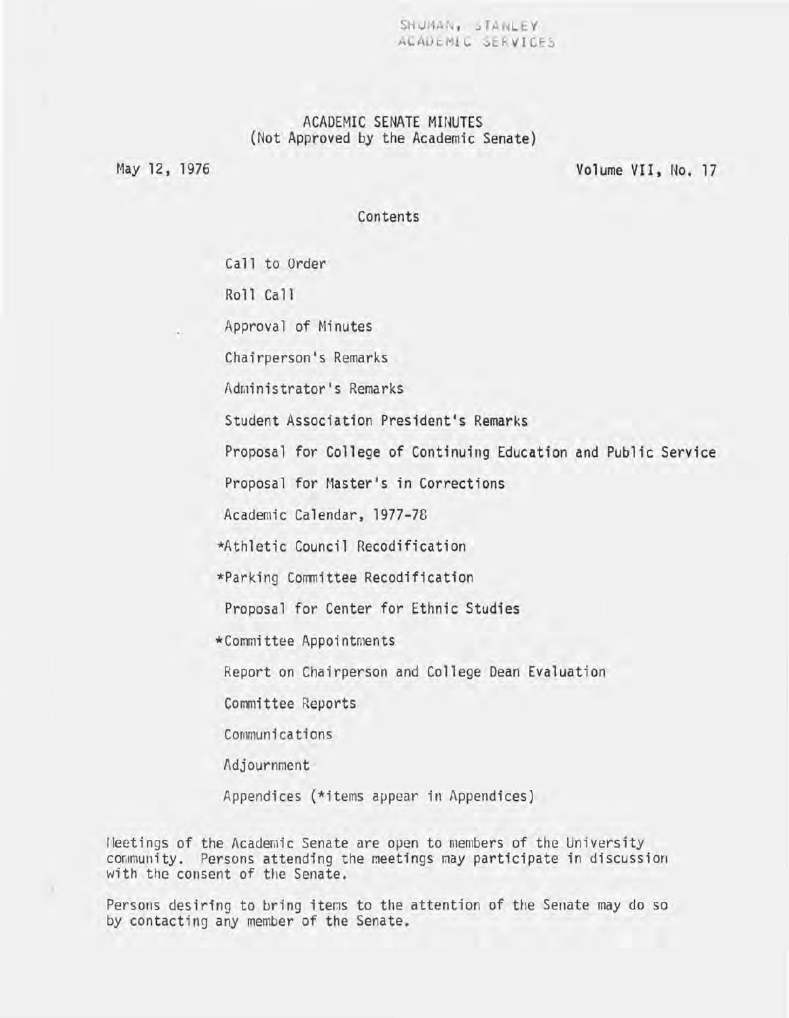$SHUMAN_{1}$   $IANLEY$ ACADEMIC SERVICES

## ACADEMIC SENATE MINUTES (Not Approved by the Academic Senate)

May 12, 1976

Volume VII, No. 17

Contents

Call to Order

Roll Call

Approval of Minutes

Chairperson's Remarks

Administrator's Remarks

Student Association President's Remarks

Proposal for College of Continuing Education and Public Service

Proposal for Master's in Corrections

Academic Calendar, 1977-78

\*Athletic Council Recodification

\*Parking Committee Recodification

Proposal for Center for Ethnic Studies

\*Committee Appointments

Report on Chairperson and College Dean Evaluation

Committee Reports

Communications

Adjournment

Appendices (\*items appear in Appendices)

Heetings of the Academic Senate are open to members of the University community. Persons attending the meetings may participate in discussion with the consent of the Senate.

Persons desiring to bring items to the attention of the Senate may do so by contacting any member of the Senate.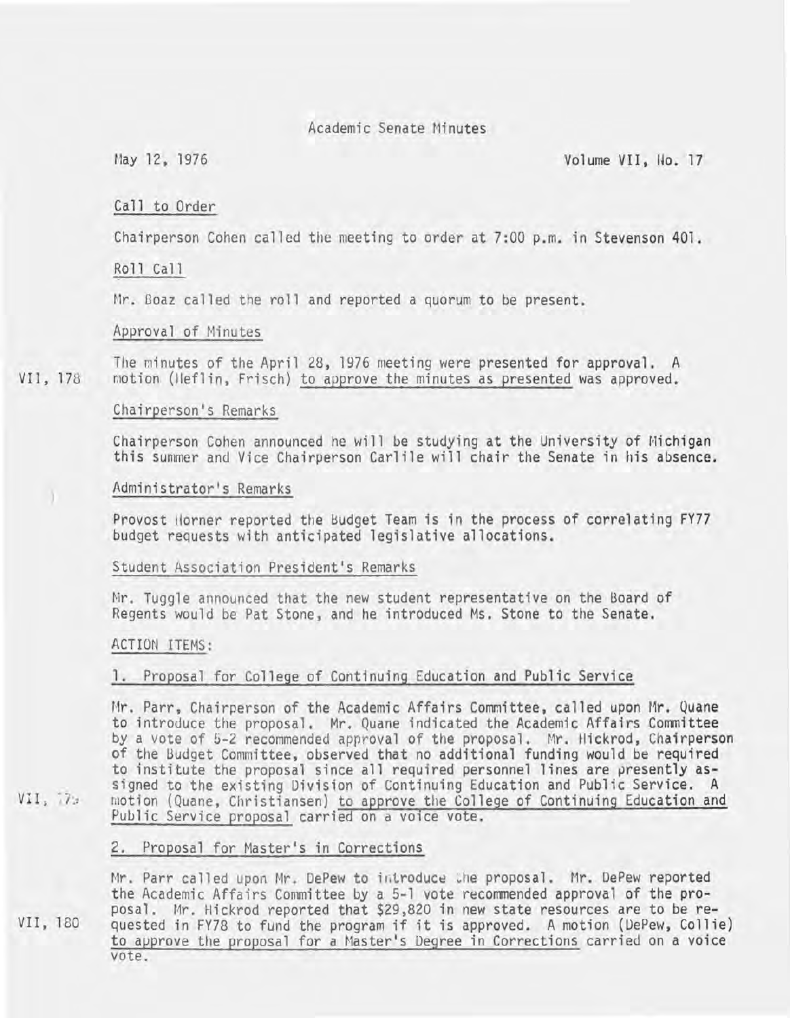## Academic Senate Minutes

May 12, 1976 Volume VII, Ilo. 17

### Call to Order

Chairperson Cohen called the meeting to order at 7:00 p.m. in Stevenson 401.

#### Roll Call

Mr. Boaz called the roll and reported a quorum to be present.

#### Approval of Minutes

VII, 178 The minutes of the April 28, 1976 meeting were presented for approval. A motion (Heflin, Frisch) to approve the minutes as presented was approved.

### Chairperson's Remarks

Chairperson Cohen announced he will be studying at the University of Michigan this summer and Vice Chairperson Carlile will chair the Senate in his absence.

#### Administrator's Remarks

Provost Horner reported the Budget Team is in the process of correlating FY77 budget requests with anticipated legislative allocations.

#### Student Association President's Remarks

Mr. Tuggle announced that the new student representative on the Board of Regents would be Pat Stone, and he introduced Ms. Stone to the Senate.

#### ACTION ITEMS:

#### 1. Proposal for College of Continuing Education and Public Service

Mr. Parr, Chairperson of the Academic Affairs Committee, called upon Mr. Quane to introduce the proposal. Mr. Quane indicated the Academic Affairs Committee by a vote of 5-2 recommended approval of the proposal. Mr. Hickrod, Chairperson<br>of the Budget Committee, observed that no additional funding would be required to institute the proposal since all required personnel lines are presently assigned to the existing Division of Continuing Education and Public Service. A motion (Quane, Christiansen) to approve the College of Continuing Education and Public Service proposal carried on a voice vote.

### 2. Proposal for Master's in Corrections

Mr. Parr called upon Mr. DePew to introduce the proposal. Mr. DePew reported the Academic Affairs Committee by a 5-1 vote recommended approval of the pro-<br>posal. Mr. Hickrod reported that \$29,820 in new state resources are to be requested in FY78 to fund the program if it is approved. A motion (DePew, Collie) to approve the proposal for a Master's Degree in Corrections carried on a voice vote.

 $VII, 72$ 

)

VII, 180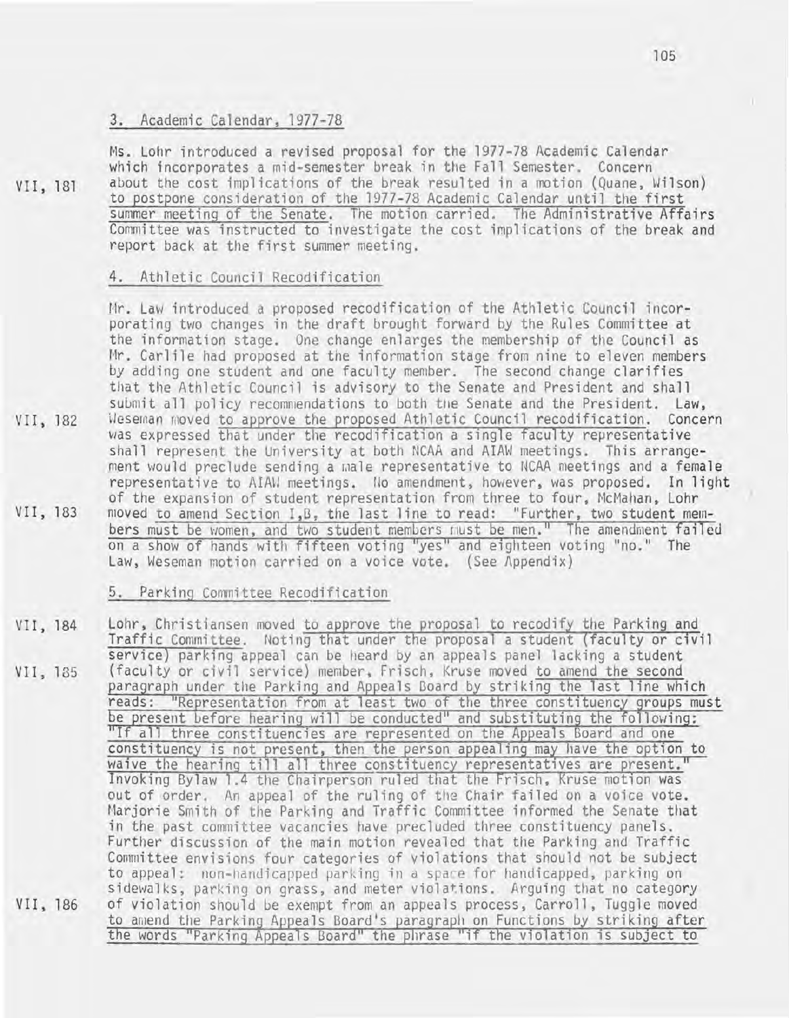## 3. Academic Calendar, 1977-78

VII, 181

Ms. Lohr introduced a revised proposal for the 1977-78 Academic Calendar which incorporates a mid-semester break in the Fall Semester. Concern about the cost implications of the break resulted in a motion (Quane, Wilson) to postpone consideration of the 1977-78 Academic Calendar until the first summer meeting of the Senate. The motion carried. The Administrative Affairs Committee was instructed to investigate the cost implications of the break and report back at the first summer meeting.

#### 4. Athletic Council Recodification

VII, 182 VII, 183 Mr. Law introduced a proposed recodification of the Athletic Council incorporating two changes in the draft brought forward by the Rules Committee at the information stage. One change enlarges the membership of the Council as Mr. Carlile had proposed at the information stage from nine to eleven members by adding one student and one faculty member. The second change clarifies that the Athletic Council is advisory to the Senate and President and shall submit all policy recommendations to both the Senate and the President. Law, Weseman moved to approve the proposed Athletic Council recodification. Concern was expressed that under the recodification a single faculty representative shall represent the University at both NCAA and AIAW meetings. This arrangement would preclude sending a male representative to NCAA meetings and a female representative to AIAW meetings. No amendment, however, was proposed. In light of the expansion of student representation from three to four, McMahan, Lohr moved to amend Section I,G, the last line to read: "Further, two student members must be women, and two student members must be men." The amendment failed on a show of hands with fifteen voting "yes" and eighteen voting "no." The Law, Weseman motion carried on a voice vote. (See Appendix)

#### Parking Committee Recodification

VII, 184 VII, 185 VII, 186 Lohr, Christiansen moved to approve the proposal to recodify the Parking and Traffic Committee. Noting that under the proposal a student (faculty or civil service) parking appeal can be heard by an appeals panel lacking a student (faculty or civil service) member, Frisch, Kruse moved to amend the second paragraph under the Parking and Appeals Board by striking the last line which reads: "Representation from at least two of the three constituency groups must<br>be present before hearing will be conducted" and substituting the following: "If all three constituencies are represented on the Appeals Board and one constituency is not present, then the person appealing may have the option to waive the hearing till all three constituency representatives are present." Invoking Bylaw 1.4 the Chairperson ruled that the Frisch, Kruse motion was out of order. An appeal of the ruling of the Chair failed on a voice vote. Marjorie Smith of the Parking and Traffic Committee informed the Senate that in the past committee vacancies have precluded three constituency panels. Further discussion of the main motion revealed that the Parking and Traffic Committee envisions four categories of violations that should not be subject to appeal: non-handicapped parking in a space for handicapped, parking on sidewalks, parking on grass, and meter violations. Arguing that no category of violation should be exempt from an appeals process, Carroll, Tuggle moved to amend the Parking Appeals Board's paragraph on Functions by striking after the words "Parking Appeals Board" the phrase "if the violation is subject to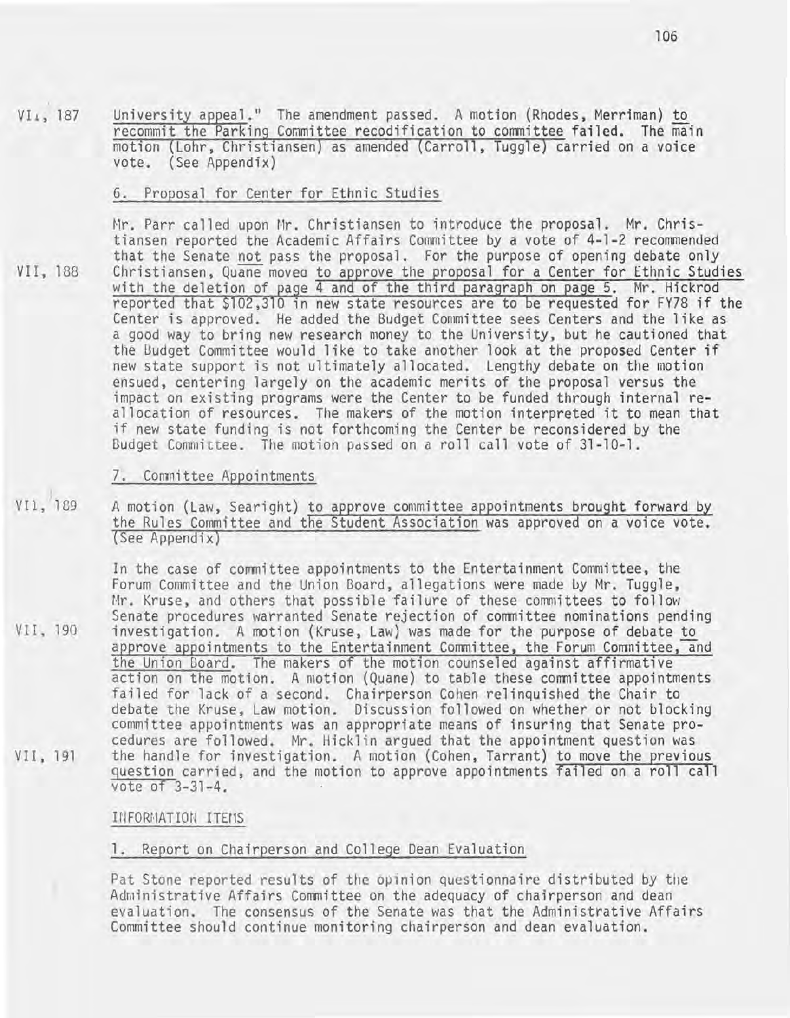VIl, 187 University appeal." The amendment passed. A motion (Rhodes, Merriman) to recommit the Parking Committee recodification to committee failed. The main motion (Lohr, Christiansen) as amended (Carroll, Tuggle) carried on a voice vote. (See Appendix)

### 6. Proposal for Center for Ethnic Studies

Mr. Parr called upon Mr. Christiansen to introduce the proposal. Mr. Christiansen reported the Academic Affairs Committee by a vote of 4-1-2 recommended that the Senate not pass the proposal. For the purpose of opening debate only Christiansen, Quane moved to approve the proposal for a Center for Ethnic Studies with the deletion of page 4 and of the third paragraph on page 5. Mr. Hickrod reported that \$102,310 in new state resources are to be requested for FY78 if the Center is approved. He added the Budget Committee sees Centers and the like as a good way to bring new research money to the University, but he cautioned that the Budget Committee would like to take another look at the proposed Center if new state support is not ultimately allocated. Lengthy debate on the motion ensued, centering largely on the academic merits of the proposal versus the impact on existing programs were the Center to be funded through internal reallocation of resources. The makers of the motion interpreted it to mean that if new state funding is not forthcoming the Center be reconsidered by the Budget Committee. The motion passed on a roll call vote of 31-10-1.

#### 7. Committee Appointments

VI1, 189 A motion (Law, Searight) to approve committee appointments brought forward by the Rules Committee and the Student Association was approved on a voice vote. (See Appendix)

In the case of committee appointments to the Entertainment Committee, the Forum Committee and the Union Goard, allegations were made by Mr. Tuggle, Mr. Kruse, and others that possible failure of these committees to follow Senate procedures warranted Senate rejection of committee nominations pending investigation. A motion (Kruse, Law) was made for the purpose of debate to approve appointments to the Entertainment Committee, the Forum Committee, and the Union Board. The makers of the motion counseled against affirmative action on the motion. A motion (Quane) to table these committee appointments failed for lack of a second. Chairperson Cohen relinquished the Chair to debate the Kruse, Law motion. Discussion followed on whether or not blocking committee appointments was an appropriate means of insuring that Senate procedures are followed. Mr. Hicklin argued that the appointment question was the handle for investigation. A motion (Cohen, Tarrant) to move the previous question carried, and the motion to approve appointments failed on a roll call vote of 3-31-4.

#### INFORMATION ITEMS

#### 1. Report on Chairperson and College Dean Evaluation

Pat Stone reported results of the opinion questionnaire distributed by the Administrative Affairs Committee on the adequacy of chairperson and dean evaluation. The consensus of the Senate was that the Administrative Affairs Committee should continue monitoring chairperson and dean evaluation.

VII, 188

VII, 190

VII,19l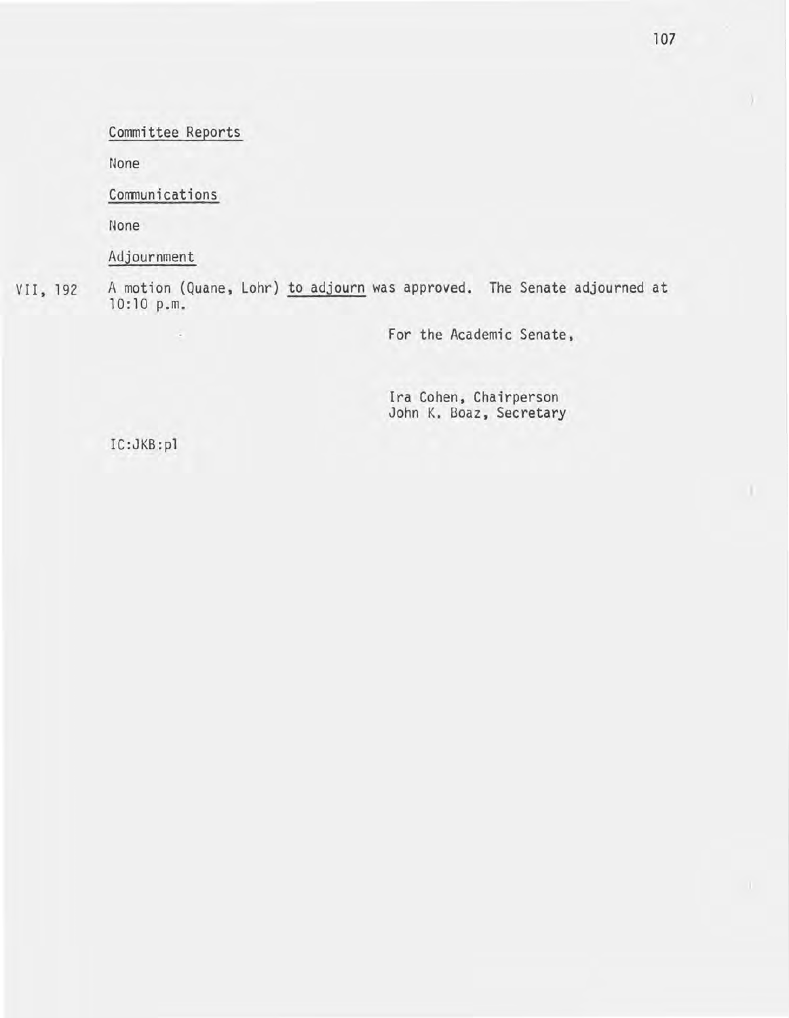Committee Reports

None

Communications

None

Adjournment

 $\sim$ 

VII,192 A motion (Quane, Lohr) to adjourn was approved. The Senate adjourned at 10:10 p.m.

For the Academic Senate,

Ira Cohen, Chairperson John K. Boaz, Secretary

IC:JKB:pl

 $\lambda$ 

 $\mathbf{u}$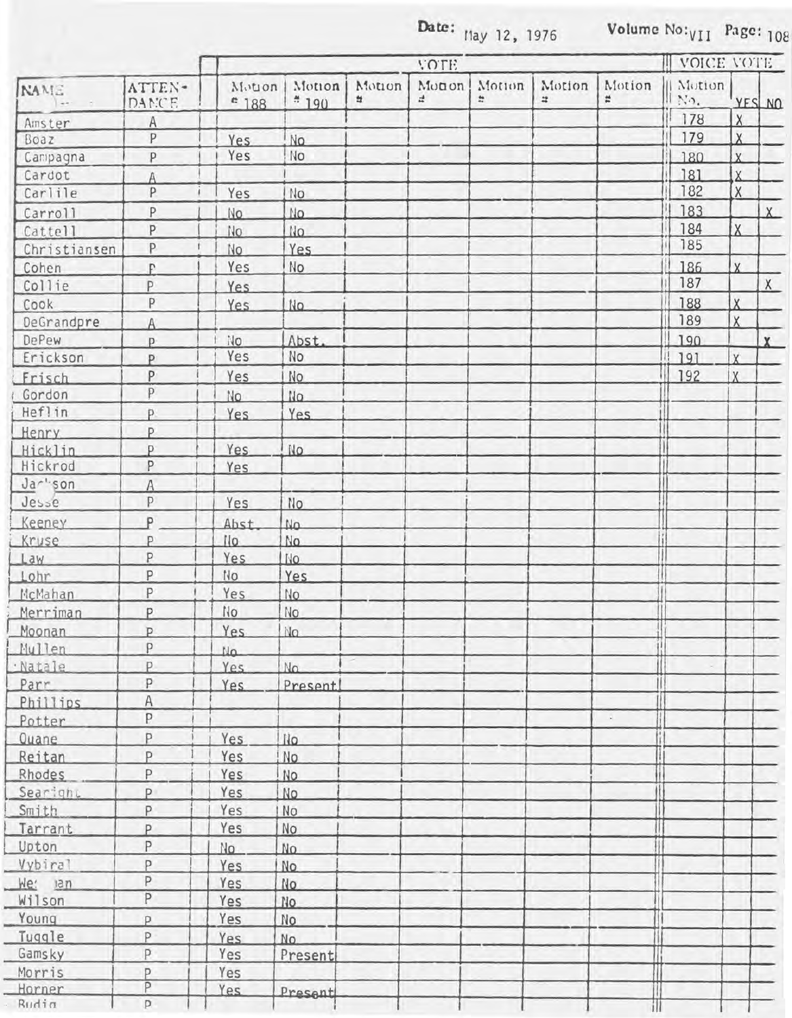Date:  $\mu_{\text{day}}$  12, 1976 Volume  $\text{No:}_{\text{VII}}$  Page: 108

|                         |                 | <b>VOTE</b>              |                  |             |              |             |                      |        | <b>III VOICE VOTE</b> |                         |              |
|-------------------------|-----------------|--------------------------|------------------|-------------|--------------|-------------|----------------------|--------|-----------------------|-------------------------|--------------|
| <b>NAME</b><br>last the | ATTEN-<br>DANCE | Motion<br>$^{\circ}$ 188 | Motion<br>$*190$ | Motion<br>쑈 | Monon<br>zł. | Motion<br>÷ | Motion<br>$\ddot{=}$ | Motion | Motion<br>ll No.      | YES NO                  |              |
| Amster                  | A               |                          |                  |             |              |             |                      |        | 178                   | X                       |              |
| Boaz                    | P               | Yes.                     | No.              |             |              |             |                      |        | 179                   | $\overline{X}$          |              |
| Campagna                | P               | Yes                      | No               |             |              |             |                      |        | 180                   | $\overline{X}$          |              |
| Cardot                  | Â               |                          |                  |             |              |             |                      |        | 181                   | $\overline{X}$          |              |
| Carlile                 | P               | Yes                      | No               |             |              |             |                      |        | 182                   | X                       |              |
| Carroll                 | P               | No.                      | No.              |             |              |             |                      |        | 183                   |                         | X            |
| Cattell                 | $\mathsf{P}$    | No.                      | No.              |             |              |             |                      |        | 184                   | IX.                     |              |
| Christiansen            | $\mathsf{P}$    | No.                      | Yes              |             |              |             |                      |        | 185                   |                         |              |
| Cohen                   | p               | Yes                      | No               |             |              |             |                      |        | 186                   | $\mathsf{x}$            |              |
| Collie                  | P               | Yes.                     |                  |             |              |             |                      |        | 187                   |                         | X            |
| Cook                    | P               | Yes.                     | No.              |             |              |             |                      |        | 188                   | $\overline{\mathsf{x}}$ |              |
| DeGrandpre              | $\overline{A}$  |                          |                  |             |              |             |                      |        | 189                   | $\sf X$                 |              |
| <b>DePew</b>            | p               | <b>No</b>                | Abst.            |             |              |             |                      |        | 190                   |                         | $\mathbf{x}$ |
| Erickson                | P               | Yes                      | No               |             |              |             |                      |        | 191                   | X                       |              |
| Frisch                  | P               | Yes                      | No               |             |              |             |                      |        | 192                   | <b>X</b>                |              |
| Gordon                  | p               | No.                      | NQ               |             |              |             |                      |        |                       |                         |              |
| Hef!in                  | p.              | Yes                      | Yes.             |             |              |             |                      |        |                       |                         |              |
| <b>Henry</b>            | P               |                          |                  |             |              |             |                      |        |                       |                         |              |
| Hicklin                 | p               | Yes                      | No.              |             |              |             |                      |        |                       |                         |              |
| Hickrod                 | P               | Yes                      |                  |             |              |             |                      |        |                       |                         |              |
| Jar"son                 | $\overline{A}$  |                          |                  |             |              |             |                      |        |                       |                         |              |
| Jesse                   | $\mathsf{P}$    | Yes                      | No               |             |              |             |                      |        |                       |                         |              |
| Keeney                  | p               | Abst                     | NQ               |             |              |             |                      |        |                       |                         |              |
| Kruse                   | P               | No.                      | No.              |             |              |             |                      |        |                       |                         |              |
| Law                     | P               | Yes                      | No.              |             |              |             |                      |        |                       |                         |              |
| Lohr                    | P               | No                       | <b>Yes</b>       |             |              |             |                      |        |                       |                         |              |
| McMahan                 | P               | Yes                      | No               |             |              |             |                      |        |                       |                         |              |
| Merriman                | P               | N <sub>O</sub>           | No               |             |              |             |                      |        |                       |                         |              |
| Moonan                  | P               | Yes.                     | No.              |             |              |             |                      |        |                       |                         |              |
| Mullen                  | P               |                          |                  |             |              |             |                      |        |                       |                         |              |
| Natale                  | P.              | 110<br>Yes               | N <sub>0</sub>   |             |              |             |                      |        |                       |                         |              |
| Parr                    | P               |                          | Present          |             |              |             |                      |        |                       |                         |              |
| Phillips                | A               | Yes                      |                  |             |              |             |                      |        |                       |                         |              |
| Potter                  | P               |                          |                  |             |              |             |                      | $\sim$ |                       |                         |              |
| Quane                   | P               | Yes.                     | Ilo.             |             |              |             |                      |        |                       |                         |              |
| Reitan                  | P               | Yes                      | No               |             |              |             |                      |        |                       |                         |              |
| Rhodes                  | P               | Yes                      | No               |             |              |             |                      |        |                       |                         |              |
| Searight                | P               | Yes                      | No               |             |              |             |                      |        |                       |                         |              |
| Smith                   | P               | Yes                      | No               |             |              |             |                      |        |                       |                         |              |
| Tarrant                 | P               | Yes                      | No               |             |              |             |                      |        |                       |                         |              |
| Upton                   | P               |                          |                  |             |              |             |                      | Ħ      |                       |                         |              |
| Vybiral                 | p               | No                       | No.              |             |              |             |                      |        |                       |                         |              |
| We:                     | P               | Yes                      | No.              |             |              |             |                      |        |                       |                         |              |
| nsn                     | P               | Yes                      | No               |             |              |             |                      |        |                       |                         |              |
| Wilson                  |                 | Yes                      | No.              |             |              |             |                      |        |                       |                         |              |
| Young                   | p               | Yes                      | N <sub>o</sub>   |             |              |             |                      |        |                       |                         |              |
| Tuggle                  | P               | Yes                      | No.              |             |              |             |                      |        |                       |                         |              |
| Gamsky<br>Morris        | P               | Yes<br>Yes               | Present          |             |              |             |                      |        |                       |                         |              |
|                         | P               |                          |                  |             |              |             |                      |        |                       |                         |              |
| Horner                  | $\overline{P}$  | Yes                      | Present          |             |              |             |                      |        |                       |                         |              |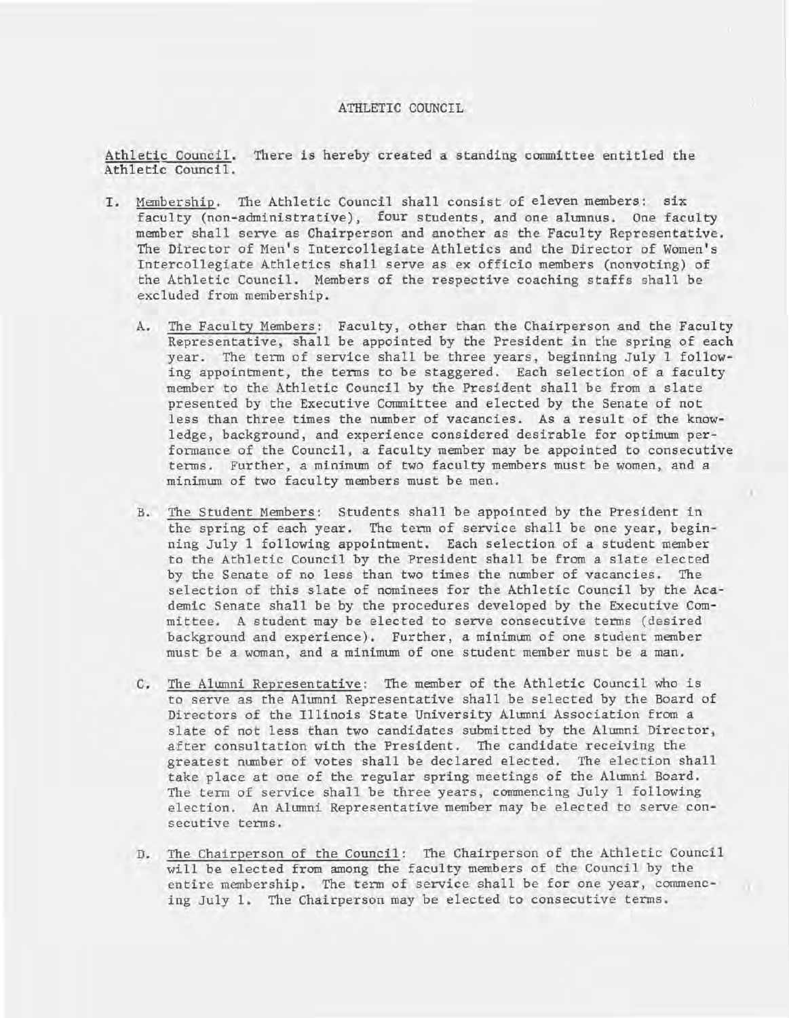#### ATHLETIC COUNCIL

Athletic Council. There is hereby created a standing committee entitled the Athletic Council.

- I. Membership. The Athletic Council shall consist of eleven members: six faculty (non-administrative), four students, and one alumnus. One faculty member shall serve as Chairperson and another as the Faculty Representative. The Director of Men's Intercollegiate Athletics and the Director of Women's Intercollegiate Athletics shall serve as ex officio members (nonvoting) of the Athletic Council. Members of the respective coaching staffs shall be excluded from membership.
	- A. The Faculty Members: Faculty, other than the Chairperson and the Faculty Representative, shall be appointed by the President in the spring of each year. The term of service shall be three years, beginning July 1 following appointment, the terms to be staggered. Each selection of a faculty member to the Athletic Council by the President shall be from a slate presented by the Executive Committee and elected by the Senate of not less than three times the number of vacancies. As a result of the knowledge, background, and experience considered desirable for optimum performance of the Council, a faculty member may be appointed to consecutive terms. Further, a minimum of two faculty members must be women, and a minimum of two faculty members must be men.
	- B. The Student Members: Students shall be appointed by the President in the spring of each year. The term of service shall be one year, beginning July 1 following appointment. Each selection of a student member to the Athletic Council by the President shall be from a slate elected by the Senate of no less than two times the number of vacancies. The selection of this slate of nominees for the Athletic Council by the Academic Senate shall be by the procedures developed by the Executive Committee. A student may be elected to serve consecutive terms (desired background and experience). Further, a minimum of one student member must be a woman, and a minimum of one student member must be a man.
	- C. The Alumni Representative: The member of the Athletic Council who is to serve as the Alumni Representative shall be selected by the Board of Directors of the Illinois State University Alumni Association from a slate of not less than two candidates submitted by the Alumni Director, after consultation with the President. The candidate receiving the greatest number of votes shall be declared elected. The election shall take place at one of the regular spring meetings of the Alumni Board. The term of service shall be three years, commencing July 1 following election. An Alumni Representative member may be elected to serve consecutive terms.
	- D. The Chairperson of the Council: The Chairperson of the Athletic Council will be elected from among the faculty members of the Council by the entire membership. The term of service shall be for one year, commencing July 1. The Chairperson may be elected to consecutive terms.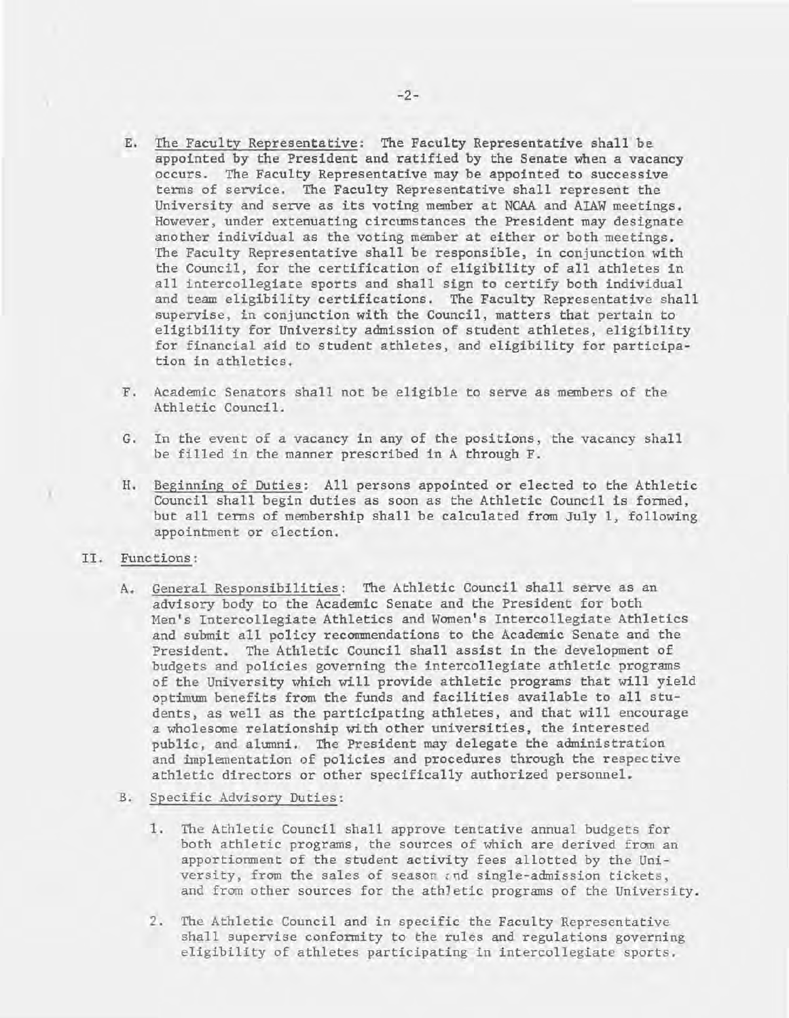- E. The Faculty Representative: The Faculty Representative shall be appointed by the President and ratified by the Senate when a vacancy occurs. The Faculty Representative may be appointed to successive terms of service. The Faculty Representative shall represent the University and serve as its voting member at NCAA and AIAW meetings. However, under extenuating circumstances the President may designate another individual as the voting member at either or both meetings. The Faculty Representative shall be responsible, in conjunction with the Council, for the certification of eligibility of all athletes in all intercollegiate sports and shall sign to certify both individual and team eligibility certifications. The Faculty Representative shall supervise, in conjunction with the Council, matters that pertain to eligibility for University admission of student athletes, eligibility for financial aid to student athletes, and eligibility for participation in athletics.
- F. Academic Senators shall not be eligible to serve as members of the Athletic Council.
- G. In the event of a vacancy in any of the positions, the vacancy shall be filled in the manner prescribed in A through F.
- H. Beginning of Duties: All persons appointed or elected to the Athletic Council shall begin duties as soon as the Athletic Council is formed, but all terms of membership shall be calculated from July 1, following appointment or election.
- II. Functions:

)

- A. General Responsibilities: The Athletic Council shall serve as an advisory body to the Academic Senate and the President for both Men's Intercollegiate Athletics and Women's Intercollegiate Athletics and submit all policy recommendations to the Academic Senate and the President. The Athletic Council shall assist in the development of budgets and policies governing the intercollegiate athletic programs of the University which will provide athletic programs that will yield optimum benefits from the funds and facilities available to all students, as well as the participating athletes, and that will encourage a wholesome relationship with other universities, the interested public, and alumni. The President may delegate the administration and implementation of policies and procedures through the respective athletic directors or other specifically authorized personnel.
- B. Specific Advisory Duties:
	- 1. The Athletic Council shall approve tentative annual budgets for both athletic programs, the sources of which are derived from an apportionment of the student activity fees allotted by the University, from the sales of season and single-admission tickets, and from other sources for the athJetic programs of the University.
	- 2. The Athletic Council and in specific the Faculty Representative shall supervise conformity to the rules and regulations governing eligibility of athletes participating in intercollegiate sports.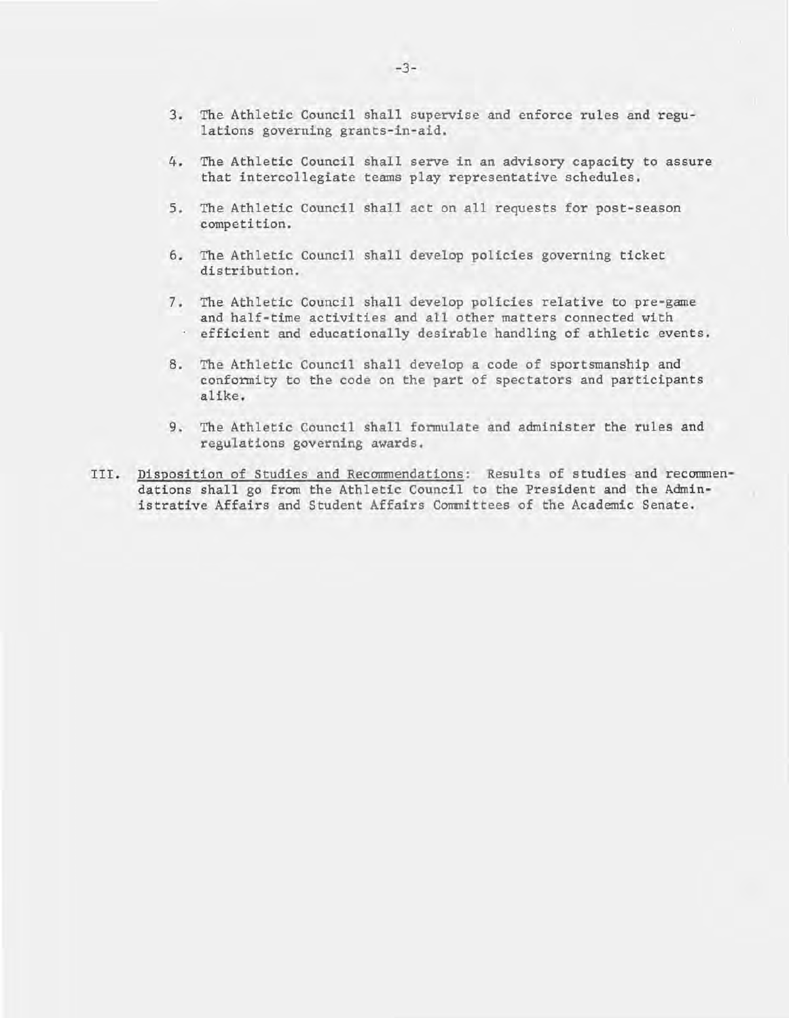- 3. The Athletic Council shall supervise and enforce rules and regulations governing grants-in-aid.
- 4. The Athletic Council shall serve in an advisory capacity to assure that intercollegiate teams play representative schedules.
- 5. The Athletic Council shall act on all requests for post-season competition.
- 6. The Athletic Council shall develop policies governing ticket distribution.
- 7. The Athletic Council shall develop policies relative to pre-game and half-time activities and all other matters connected with efficient and educationally desirable handling of athletic events.
- 8. The Athletic Council shall develop a code of sportsmanship and conformity to the code on the part of spectators and participants alike.
- 9. The Athletic Council shall formulate and administer the rules and regulations governing awards.
- III. Disposition of Studies and Recommendations: Results of studies and recommendations shall go from the Athletic Council to the President and the Administrative Affairs and Student Affairs Committees of the Academic Senate.